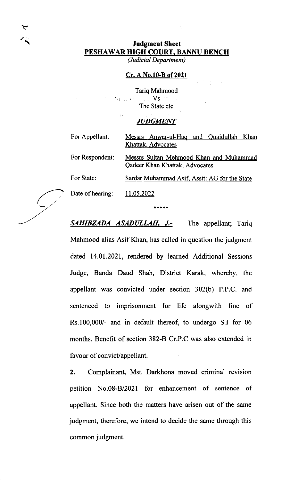## Judgment Sheet PESHAWAR HIGH COURT, BANNU BENCH

 $\blacktriangledown$ 

(Judicial Department)

## Cr. A No.10-B of 2021

Tariq Mahmood Vs  $\mathbb{Z}^2$  and  $\mathbb{Z}^2$  . The State etc

## **JUDGMENT**

 $\sim$  1  $\pm$ 

| For Appellant:   | Messrs Anwar-ul-Haq and Quaidullah Khan       |
|------------------|-----------------------------------------------|
|                  | Khattak, Advocates                            |
| For Respondent:  | Messrs Sultan Mehmood Khan and Muhammad       |
|                  | <b>Qadeer Khan Khattak, Advocates</b>         |
| For State:       | Sardar Muhammad Asif, Asstt: AG for the State |
| Date of hearing: | 11.05.2022                                    |

\*\*\*\*\*

**SAHIBZADA ASADULLAH, J.-** The appellant; Tariq Mahmood alias Asif Khan, has called in question the judgment dated 14.01.2021, rendered by learned Additional Sessions Judge, Banda Daud Shah, District Karak, whereby, the appellant was convicted under section 302(b) P.P.C. and sentenced to imprisonment for life alongwith fine of Rs.100,000/- and in default thereof, to undergo S.I for <sup>06</sup> months. Benefit of section 382-B Cr.P.C was also extended in favour of convict/appellant.

2. Complainant, Mst. Darkhona movcd criminal revision petition No.08-B/2021 for enhancement of sentence of appellant. Since both the matters have arisen out of the same judgment, therefore, we intend to decide the same through this common judgment.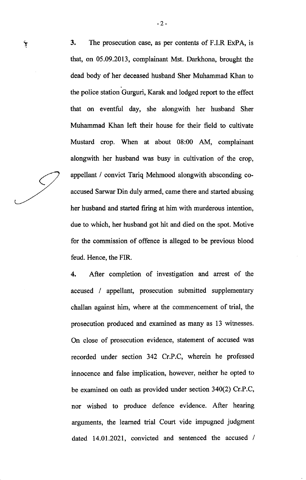$\dot{\tau}$  3. The prosecution case, as per contents of F.I.R ExPA, is that, on 05.09.2013, complainant Mst. Darkhona, brought the dead body of her deceased husband Sher Muhammad Khan to the police station Gurguri, Karak and lodged report to the effect that on eventful day, she alongwith her husband Sher Muhammad Khan left their house for their field to cultivate Mustard crop. When at about 08:00 AM, complainant alongwith her husband was busy in cultivation of the crop, appellant / convict Tariq Mehmood alongwith absconding coaccused Sarwar Din duly armed, came there and started abusing her husband and started firing at him with murderous intention, due to which, her husband got hit and died on the spot. Motive for the commission of offence is alleged to be previous blood feud. Hence, the FIR.

> 4. After completion of investigation and arrest of the accused / appellant, prosecution submitted supplementary challan against him, where at the commencement of trial, the prosecution produced and examined as many as 13 wihesses. On close of prosecution evidence, statement of accused was recorded under section 342 Cr.P.C, wherein he professed innocence and false implication, however, neither he opted to be examined on oath as provided under section 340(2) Cr.P.C, nor wished to produce defence evidence. After hearing arguments, the learned trial Court vide impugned judgment dated 14.01.2021, convicted and sentenced the accused /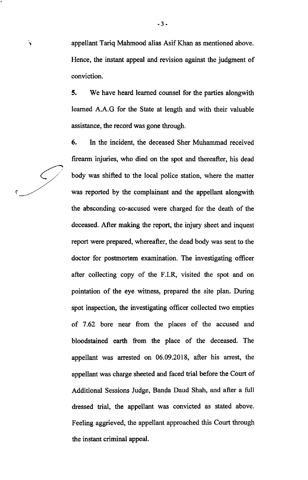! appellant Tariq Mahmood alias Asif Khan as mentioned above. Hence, the instant appeal and revision against the judgment of conviction.

> 5. We have heard leamed counsel for the parties alongwith leamed A.A.G for the State at length and with their valuable assistance, the record was gone through.

> 6. In the incident, the deceased Sher Muhammad received firearm injuries, who died on the spot and thereafter, his dead body was shifted to the local police station, where the matter was reported by the complainant and the appellant alongwith the absconding co-accused were charged for the death of the deceased. After making the report, the injury sheet and inquest report were prepared, whereafter, the dead body was sent to the doctor for posfinortem examination. The investigating officer after collecting copy of the F.I.R, visited the spot and on pointation of the eye witness, prepared the site plan. During spot inspection, the investigating officer collected two empties of 7.62 bore near from the places of the accused and bloodstained earth from the place of the deceased. The appellant was arrested on 06.09.2018, after his arrest, the appellant was charge sheeted and faced trial before the Court of Additional Sessions Judge, Banda Daud Shah, and after a full dressed trial, the appellant was convicted as stated above. Feeling aggrieved, the appellant approached this Court through the instant criminal appeal.

c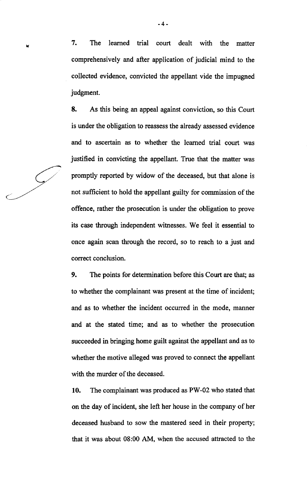v 7. The learned trial court dealt with the matter comprehensively and after application of judicial mind to the collected evidence, convicted the appellant vide the impugned judgment.

> 8. As this being an appeal against conviction, so this Court is under the obligation to reassess the already assessed evidence and to ascertain as to whether the leamed trial court was justified in convicting the appellant. True that the matter was promptly reported by widow of the deceased, but that alone is not sufficient to hold the appellant guilty for commission of the offence, rather the prosecution is under the obligation to prove its case through independent witnesses. We feel it essential to once again scan through the record, so to reach to a just and correct conclusion.

> 9. The points for determination before this Court are that; as to whether the complainant was present at the time of incident; and as to whether the incident occurred in the mode, manner and at the stated time; and as to whether the prosecution succeeded in bringing home guilt against the appellant and as to whether the motive alleged was proved to connect the appellant with the murder of the deceased.

> 10. The complainant was produced as PW-02 who stated that on the day of incident, she left her house in the company of her deceased husband to sow the mastered seed in their property; that it was about 08:00 AM, when the accused attracted to the

-4-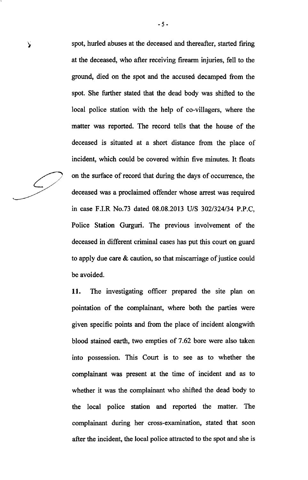spot, hurled abuses at the deceased and thereafter, started firing at the deceased, who after receiving firearm injuries, fell to the ground, died on the spot and the accused decamped from the spot. She further stated that the dead body was shifted to the local police station with the help of co-villagers, where the matter was reported. The record tells that the house of the deceased is situated at a short distance from the place of incident, which could be covered within five minutes. It floats on the surface of record that during the days of occurrence, the deceased was a proclaimed offender whose arrest was required in case F.I.R No.73 dated 08.08.2013 U/S 302/324/34 P.P.C, Police Station Gurguri. The previous involvement of the deceased in different criminal cases has put this court on guard to apply due care  $\&$  caution, so that miscarriage of justice could be avoided.

11. The investigating officer prepared the site plan on pointation of the complainant, where both the parties were given specific points and from the place of incident alongwith blood stained earth, two empties of 7.62 bore were also taken into possession. This Court is to see as to whether the complainant was present at the time of incident and as to whether it was the complainant who shifted the dead body to the local police station and reported the matter. The complainant during her cross-examination, stated that soon after the incident, the local police attracted to the spot and she is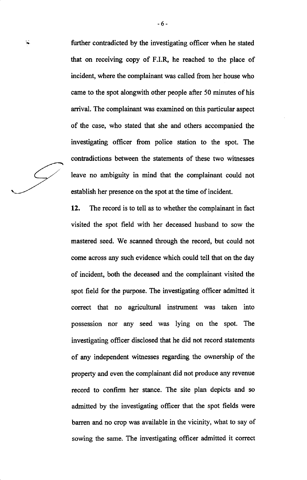further contradicted by the investigating officer when he stated that on receiving copy of F.I.& he reached to the place of incident, where the complainant was called from her house who came to the spot alongwith other people after 50 minutes of his arrival. The complainant was examined on this particular aspect of the case, who stated that she and others accompanied the investigating officer from police station to the spot. The contradictions between the statements of these two witresses leave no ambiguity in mind that the complainant could not

establish her presence on the spot at the time of incident.

-6-

 $\lambda$ 

12. The record is to tell as to whether the complainant in fact visited the spot field with her deceased husband to sow the mastered seed. We scanned through the record, but could not come across any such evidence which could tell that on the day of incident, both the deceased and the complainant visited the spot field for the purpose. The investigating officer admitted it correct that no agricultural instrument was taken into possession nor any seed was lying on the spot. The investigating offrcer disclosed that he did not record statements of any independent witresses regarding the ownership of the property and even the complainant did not produce any revenue record to confirm her stance. The site plan depicts and so admitted by the investigating officer that the spot fields were barren and no crop was available in the vicinity, what to say of sowing the same. The investigating officer admitted it correct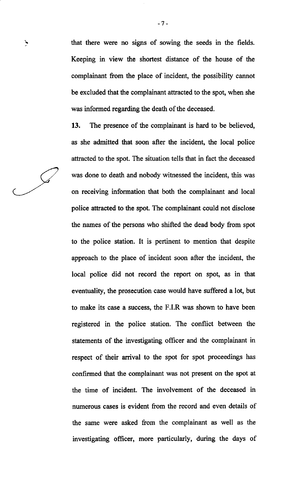that there were no signs of sowing the seeds in the fields. Keeping in view the shortest distance of the house of the complainant from the place of incident, the possibility cannot be excluded that the complainant attracted to the spot, when she was informed regarding the death of the deceased.

 $\mathbf{y}$ 

13. The presence of the complainant is hard to be believed, as she admitted that soon after the incident, the local police attracted to the spot. The situation tells that in fact the deceased was done to death and nobody witnessed the incident, this was on receiving information that both the complainant and local police attracted to the spot. The complainant could not disclose the names of the persons who shifted the dead body from spot to the police station. It is pertinent to mention that despite approach to the place of incident soon after the incident, the local police did not record the report on spot, as in that eventuality, the prosecution case would have suffered a lot, but to make its case a success, the F.I.R was shown to have been registered in the police station. The conflict between the statements of the investigating officer and the complainant in respect of their arrival to the spot for spot proceedings has confirmed that the complainant was not present on the spot at the time of incident. The involvement of the deceased in numerous cases is evident from the record and even details of the same were asked from the complainant as well as the investigating officer, more particularly, during the days of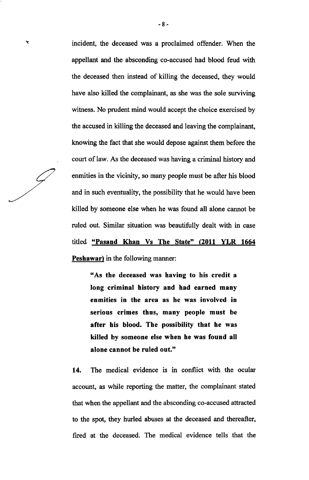incident, the deceased was a proclaimed offender. When the appellant and the absconding co-accused had blood feud with the deceased then instead of killing the deceased, they would have also killed the complainant, as she was the sole surviving witness. No prudent mind would accept the choice exercised by the accused in killing the deceased and leaving the complainant, knowing the fact that she would depose against them before the court of law. As the deceased was having a criminal history and enmities in the vicinity, so many people must be after his blood and in such eventuality, the possibility that he would have been killed by someone else when he was found all alone cannot be ruled out. Similar situation was beautifully dealt with in case titled "Pasand Khan Vs The State" (2011 YLR <sup>1664</sup> Peshawar) in the following manner:

"As the deceased was having to his credit <sup>a</sup> long criminal history and had earned many enmities in the area as he was involved in serious crimes thus, many people must be after his blood. The possibility that he was killed by someone else when he was found all alone cannot be ruled out."

14. The medical evidence is in conflict with the ocular account, as while reporting the matter, the complainant stated that when the appellant and the absconding co-accused attracted to the spot, they hurled abuses at the deceased and thereafter, fired at the deceased. The medical evidence tells that the

 $\bm{\varkappa}$ 

 $\cancel{\subset}$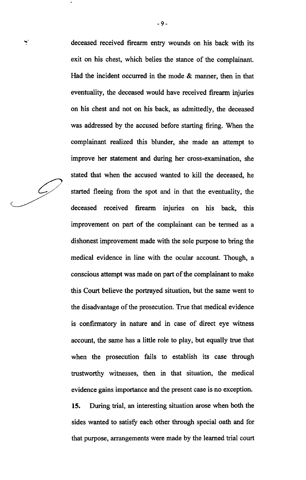$\mathcal{L}_{1}$ 

**ي**.

deceased received firearm entry wounds on his back with its exit on his chest, which belies the stance of the complainant. Had the incident occurred in the mode & manner, then in that eventuality, the deceased would have received firearm injuries on his chest and not on his back, as admittedly, the deceased was addressed by the accused before starting firing. When the complainant realized this blunder, she made an attempt to improve her statement and during her cross-examination, she stated that when the accused wanted to kill the deceased, he started fleeing from the spot and in that the eventuality, the deceased received firearm injuries on his back, this improvement on part of the complainant can be termed as a dishonest improvement made with the sole purpose to bring the medical evidence in line with the ocular account. Though, a conscious attempt was made on part of the complainant to make this Court believe the portrayed situation, but the sarne went to the disadvantage of the prosecution. True that medical evidence is confirmatory in nature and in case of direct eye witness account, the same has a little role to play, but equally true that when the prosecution fails to establish its case through trustworthy witnesses, then in that situation, the medical evidence gains importance and the present case is no exception.

15. During trial, an interesting situation arose when both the sides wanted to satisfy each other through special oath and for that purpose, arrangements were made by the learned trial court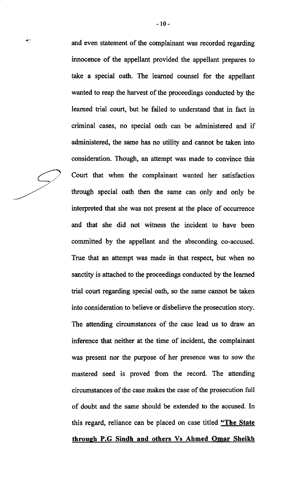and even statement of the complainant was recorded regarding innocence of the appellant provided the appellant prepares to take a special oath. The leamed counsel for the appellant wanted to reap the harvest of the proceedings conducted by the leamed trial court, but he failed to understand that in fact in criminal cases, no special oath can be administered and if administered, the same has no utility and cannot be taken into consideration. Though, an attempt was made to convince this Court that when the complainant wanted her satisfaction through special oath then the same can only and only be interpreted that she was not present at the place of occurrence and that she did not witness the incident to have been committed by the appellant and the absconding co-accused. True that an attempt was made in that respect, but when no sanctity is attached to the proceedings conducted by the learned trial court regarding special oath, so the same cannot be taken into consideration to believe or disbelieve the prosecution story. The attending circumstances of the case lead us to draw an inference that neither at the time of incident, the complainant was present nor the purpose of her presence was to sow the mastered seed is proved from the record. The attending circumstances of the case makes the case of the prosecution full of doubt and the same should be extended to the accused. [n this regard, reliance can be placed on case titled "The State"

through P.G Sindh and others Vs Ahmed Omar Sheikh

 $-10-$ 

 $\frac{1}{2}$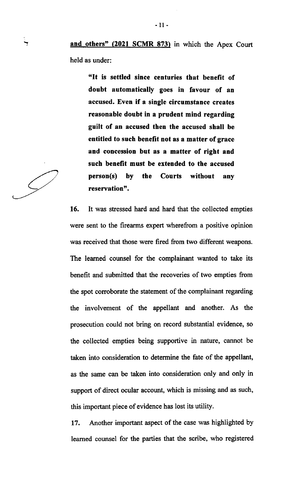"It is settled since centuries that benefit of doubt automatically goes in favour of an accused. Even if a single circumstance creates reasonable doubt in a prudent mind regarding guilt of an accused then the accused shall be entitled to such benefit not as a matter of grace and concession but as a matter of right and such benefit must be extended to the accused person(s) by the Courts without any reservation".

16. It was stressed hard and hard that the collected empties were sent to the firearms expert wherefrom a positive opinion was received that those were fired from two different weapons. The leamed counsel for the complainant wanted to take its benefit and submitted that the recoveries of two empties from the spot corroborate the statement of the complainant regarding the involvement of the appellant and another. As the prosecution could not bring on record substantial evidence, so the collected empties being supportive in nature, cannot be taken into consideration to determine the fate of the appellant, as the same can be taken into consideration only and only in support of direct ocular account, which is missing and as such, this important piece of evidence has lost its utility.

17. Another important aspect of the case was highlighted by leamed counsel for the parties that the scribe, who registered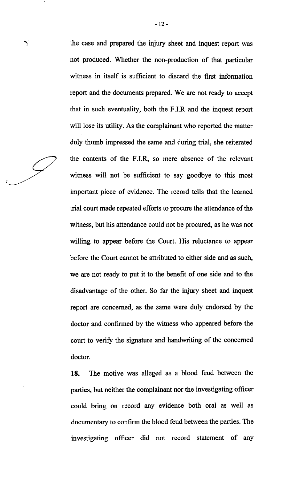╲

the case and prepared the injury sheet and inquest report was not produced. Whether the non-production of that particular witress in itself is sufficient to discard the first information report and the documents prepared. We are not ready to accept that in such eventuality, both the F.I.R and the inquest report will lose its utility. As the complainant who reported the matter duly thumb impressed the same and during trial, she reiterated the contents of the F.I.R, so mere absence of the relevant witness will not be sufficient to say goodbye to this most important piece of evidence. The record tells that the leamed trial court made repeated efforts to procure the attendance of the witness, but his attendance could not be procured, as he was not willing to appear before the Court. His reluctance to appear before the Court cannot be attributed to either side and as such, we are not ready to put it to the benefit of one side and to the disadvantage of the other. So far the injury sheet and inquest report are concerned, as the same were duly endorsed by the doctor and confirmed by the witness who appeared before the court to verify the signature and handwriting of the concerned doctor.

18. The motive was alleged as a blood feud between the parties, but neither the complainant nor the investigating officer could bring on record any evidence both oral as well as documentary to confirm the blood feud between the parties. The investigating officer did not record statement of any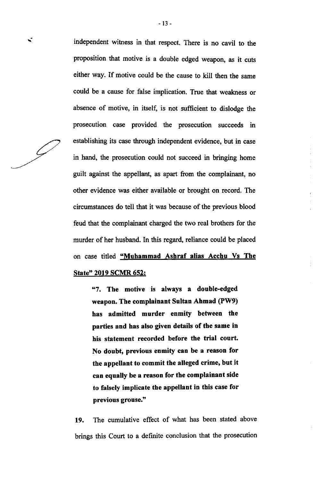independent witness in that respect. There is no cavil to the proposition that motive is a double edged weapon, as it cuts either way. If motive could be the cause to kill then the same could be a cause for false implication. True that weakness or absence of motive, in itself, is not sufficient to dislodge the prosecution case provided the prosecution succeeds in establishing its case through independent evidence, but in case in hand, the prosecution could not succeed in bringing home guilt against the appellant, as apart from the complainant, no other evidence was either available or brought on record. The circumstances do tell that it was because of the previous blood feud that the complainant charged the two real brothers for the murder of her husband. In this regard, reliance could be placed on case titled "Muhammad Ashraf alias Acchu Vs The State" 2019 SCMR 652:

 $\frac{1}{2}$ 

"7. The motive is always a double-edged weapon. The complainant Sultan Ahmad (PW9) has admitted murder enmity between the parties and has also given details of the same in his statement recorded before the trial court. No doubt, previous enmity can be a reason for the appellant to commit the alleged crime, but it can equally be a reason for the complainant side to falsely implicate the appeltant in this case for previous grouse."

19. The cumulative effect of what has been stated above brings this Court to a definite conclusion that the prosecution

 $\blacksquare$ 

 $\mathcal{L}$